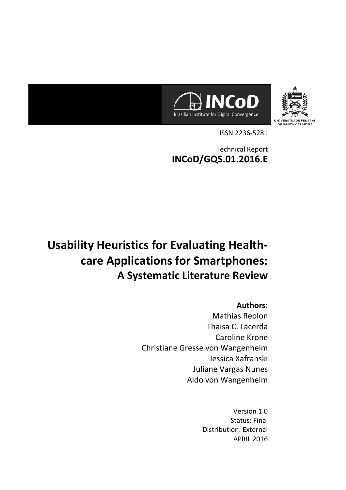



ISSN 2236-5281

Technical Report **INCoD/GQS.01.2016.E**

# **Usability Heuristics for Evaluating Healthcare Applications for Smartphones: A Systematic Literature Review**

## **Authors**:

Mathias Reolon Thaisa C. Lacerda Caroline Krone Christiane Gresse von Wangenheim Jessica Xafranski Juliane Vargas Nunes Aldo von Wangenheim

> Version 1.0 Status: Final Distribution: External APRIL 2016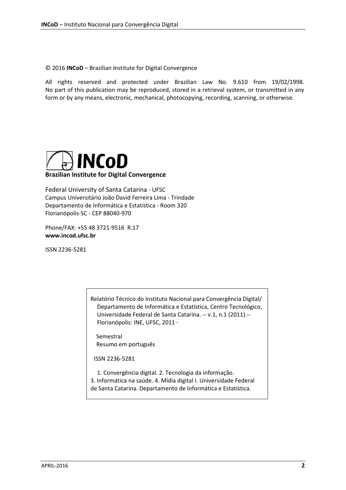© 2016 **INCoD** – Brazilian Institute for Digital Convergence

All rights reserved and protected under Brazilian Law No. 9.610 from 19/02/1998. No part of this publication may be reproduced, stored in a retrieval system, or transmitted in any form or by any means, electronic, mechanical, photocopying, recording, scanning, or otherwise.



**Brazilian Institute for Digital Convergence**

Federal University of Santa Catarina - UFSC Campus Universitário João David Ferreira Lima - Trindade Departamento de Informática e Estatística - Room 320 Florianópolis-SC - CEP 88040-970

Phone/FAX: +55 48 3721-9516 R.17 **www.incod.ufsc.br**

ISSN 2236-5281

Relatório Técnico do Instituto Nacional para Convergência Digital/ Departamento de Informática e Estatística, Centro Tecnológico, Universidade Federal de Santa Catarina. -- v.1, n.1 (2011).-- Florianópolis: INE, UFSC, 2011 -

Semestral Resumo em português

ISSN 2236-5281

1. Convergência digital. 2. Tecnologia da informação. 3. Informática na saúde. 4. Mídia digital I. Universidade Federal de Santa Catarina. Departamento de Informática e Estatística.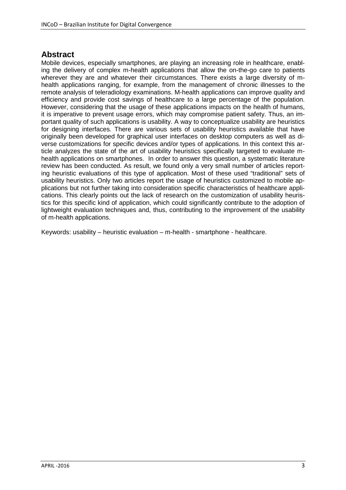## **Abstract**

Mobile devices, especially smartphones, are playing an increasing role in healthcare, enabling the delivery of complex m-health applications that allow the on-the-go care to patients wherever they are and whatever their circumstances. There exists a large diversity of mhealth applications ranging, for example, from the management of chronic illnesses to the remote analysis of teleradiology examinations. M-health applications can improve quality and efficiency and provide cost savings of healthcare to a large percentage of the population. However, considering that the usage of these applications impacts on the health of humans, it is imperative to prevent usage errors, which may compromise patient safety. Thus, an important quality of such applications is usability. A way to conceptualize usability are heuristics for designing interfaces. There are various sets of usability heuristics available that have originally been developed for graphical user interfaces on desktop computers as well as diverse customizations for specific devices and/or types of applications. In this context this article analyzes the state of the art of usability heuristics specifically targeted to evaluate mhealth applications on smartphones. In order to answer this question, a systematic literature review has been conducted. As result, we found only a very small number of articles reporting heuristic evaluations of this type of application. Most of these used "traditional" sets of usability heuristics. Only two articles report the usage of heuristics customized to mobile applications but not further taking into consideration specific characteristics of healthcare applications. This clearly points out the lack of research on the customization of usability heuristics for this specific kind of application, which could significantly contribute to the adoption of lightweight evaluation techniques and, thus, contributing to the improvement of the usability of m-health applications.

<span id="page-2-0"></span>Keywords: usability – heuristic evaluation – m-health - smartphone - healthcare.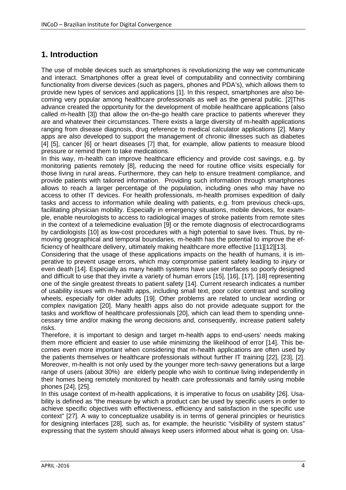# **1. Introduction**

The use of mobile devices such as smartphones is revolutionizing the way we communicate and interact. Smartphones offer a great level of computability and connectivity combining functionality from diverse devices (such as pagers, phones and PDA's), which allows them to provide new types of services and applications [1]. In this respect, smartphones are also becoming very popular among healthcare professionals as well as the general public. [2]This advance created the opportunity for the development of mobile healthcare applications (also called m-health [3]) that allow the on-the-go health care practice to patients wherever they are and whatever their circumstances. There exists a large diversity of m-health applications ranging from disease diagnosis, drug reference to medical calculator applications [2]. Many apps are also developed to support the management of chronic illnesses such as diabetes [4] [5], cancer [6] or heart diseases [7] that, for example, allow patients to measure blood pressure or remind them to take medications.

In this way, m-health can improve healthcare efficiency and provide cost savings, e.g. by monitoring patients remotely [8], reducing the need for routine office visits especially for those living in rural areas. Furthermore, they can help to ensure treatment compliance, and provide patients with tailored information. Providing such information through smartphones allows to reach a larger percentage of the population, including ones who may have no access to other IT devices. For health professionals, m-health promises expedition of daily tasks and access to information while dealing with patients, e.g. from previous check-ups, facilitating physician mobility. Especially in emergency situations, mobile devices, for example, enable neurologists to access to radiological images of stroke patients from remote sites in the context of a telemedicine evaluation [9] or the remote diagnosis of electrocardiograms by cardiologists [10] as low-cost procedures with a high potential to save lives. Thus, by removing geographical and temporal boundaries, m-health has the potential to improve the efficiency of healthcare delivery, ultimately making healthcare more effective [11][12][13].

Considering that the usage of these applications impacts on the health of humans, it is imperative to prevent usage errors, which may compromise patient safety leading to injury or even death [14]. Especially as many health systems have user interfaces so poorly designed and difficult to use that they invite a variety of human errors [15], [16], [17], [18] representing one of the single greatest threats to patient safety [14]. Current research indicates a number of usability issues with m-health apps, including small text, poor color contrast and scrolling wheels, especially for older adults [19]. Other problems are related to unclear wording or complex navigation [20]. Many health apps also do not provide adequate support for the tasks and workflow of healthcare professionals [20], which can lead them to spending unnecessary time and/or making the wrong decisions and, consequently, increase patient safety risks.

Therefore, it is important to design and target m-health apps to end-users' needs making them more efficient and easier to use while minimizing the likelihood of error [14]. This becomes even more important when considering that m-health applications are often used by the patients themselves or healthcare professionals without further IT training [22], [23], [2]. Moreover, m-health is not only used by the younger more tech-savvy generations but a large range of users (about 30%) are elderly people who wish to continue living independently in their homes being remotely monitored by health care professionals and family using mobile phones [24], [25].

In this usage context of m-health applications, it is imperative to focus on usability [26]. Usability is defined as "the measure by which a product can be used by specific users in order to achieve specific objectives with effectiveness, efficiency and satisfaction in the specific use context" [27]. A way to conceptualize usability is in terms of general principles or heuristics for designing interfaces [28], such as, for example, the heuristic "visibility of system status" expressing that the system should always keep users informed about what is going on. Usa-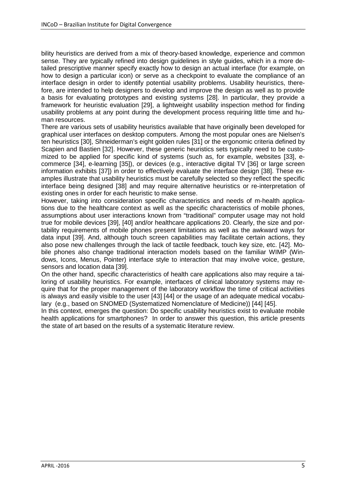bility heuristics are derived from a mix of theory-based knowledge, experience and common sense. They are typically refined into design guidelines in style guides, which in a more detailed prescriptive manner specify exactly how to design an actual interface (for example, on how to design a particular icon) or serve as a checkpoint to evaluate the compliance of an interface design in order to identify potential usability problems. Usability heuristics, therefore, are intended to help designers to develop and improve the design as well as to provide a basis for evaluating prototypes and existing systems [28]. In particular, they provide a framework for heuristic evaluation [29], a lightweight usability inspection method for finding usability problems at any point during the development process requiring little time and human resources.

There are various sets of usability heuristics available that have originally been developed for graphical user interfaces on desktop computers. Among the most popular ones are Nielsen's ten heuristics [30], Shneiderman's eight golden rules [31] or the ergonomic criteria defined by Scapien and Bastien [32]. However, these generic heuristics sets typically need to be customized to be applied for specific kind of systems (such as, for example, websites [33], ecommerce [34], e-learning [35]), or devices (e.g., interactive digital TV [36] or large screen information exhibits [37]) in order to effectively evaluate the interface design [38]. These examples illustrate that usability heuristics must be carefully selected so they reflect the specific interface being designed [38] and may require alternative heuristics or re-interpretation of existing ones in order for each heuristic to make sense.

However, taking into consideration specific characteristics and needs of m-health applications due to the healthcare context as well as the specific characteristics of mobile phones, assumptions about user interactions known from "traditional" computer usage may not hold true for mobile devices [39], [40] and/or healthcare applications 20. Clearly, the size and portability requirements of mobile phones present limitations as well as the awkward ways for data input [39]. And, although touch screen capabilities may facilitate certain actions, they also pose new challenges through the lack of tactile feedback, touch key size, etc. [42]. Mobile phones also change traditional interaction models based on the familiar WIMP (Windows, Icons, Menus, Pointer) interface style to interaction that may involve voice, gesture, sensors and location data [39].

On the other hand, specific characteristics of health care applications also may require a tailoring of usability heuristics. For example, interfaces of clinical laboratory systems may require that for the proper management of the laboratory workflow the time of critical activities is always and easily visible to the user [43] [44] or the usage of an adequate medical vocabulary (e.g., based on SNOMED (Systematized Nomenclature of Medicine)) [44] [45].

In this context, emerges the question: Do specific usability heuristics exist to evaluate mobile health applications for smartphones? In order to answer this question, this article presents the state of art based on the results of a systematic literature review.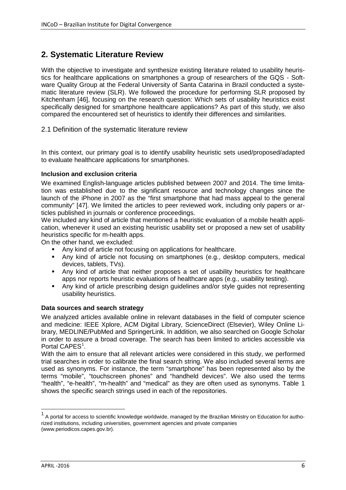# **2. Systematic Literature Review**

With the objective to investigate and synthesize existing literature related to usability heuristics for healthcare applications on smartphones a group of researchers of the GQS - Software Quality Group at the Federal University of Santa Catarina in Brazil conducted a systematic literature review (SLR). We followed the procedure for performing SLR proposed by Kitchenham [46], focusing on the research question: Which sets of usability heuristics exist specifically designed for smartphone healthcare applications? As part of this study, we also compared the encountered set of heuristics to identify their differences and similarities.

2.1 Definition of the systematic literature review

In this context, our primary goal is to identify usability heuristic sets used/proposed/adapted to evaluate healthcare applications for smartphones.

#### **Inclusion and exclusion criteria**

We examined English-language articles published between 2007 and 2014. The time limitation was established due to the significant resource and technology changes since the launch of the iPhone in 2007 as the "first smartphone that had mass appeal to the general community" [\[47\].](#page-17-0) We limited the articles to peer reviewed work, including only papers or articles published in journals or conference proceedings.

We included any kind of article that mentioned a heuristic evaluation of a mobile health application, whenever it used an existing heuristic usability set or proposed a new set of usability heuristics specific for m-health apps.

On the other hand, we excluded:

- Any kind of article not focusing on applications for healthcare.
- Any kind of article not focusing on smartphones (e.g., desktop computers, medical devices, tablets, TVs).
- Any kind of article that neither proposes a set of usability heuristics for healthcare apps nor reports heuristic evaluations of healthcare apps (e.g., usability testing).
- Any kind of article prescribing design guidelines and/or style guides not representing usability heuristics.

#### **Data sources and search strategy**

We analyzed articles available online in relevant databases in the field of computer science and medicine: IEEE Xplore, ACM Digital Library, ScienceDirect (Elsevier), Wiley Online Library, MEDLINE/PubMed and SpringerLink. In addition, we also searched on Google Scholar in order to assure a broad coverage. The search has been limited to articles accessible via Portal CAPES<sup>[1](#page-2-0)</sup>.

With the aim to ensure that all relevant articles were considered in this study, we performed trial searches in order to calibrate the final search string. We also included several terms are used as synonyms. For instance, the term "smartphone" has been represented also by the terms "mobile", "touchscreen phones" and "handheld devices". We also used the terms "health", "e-health", "m-health" and "medical" as they are often used as synonyms. Table 1 shows the specific search strings used in each of the repositories.

<span id="page-5-0"></span> $1$  A portal for access to scientific knowledge worldwide, managed by the Brazilian Ministry on Education for authorized institutions, including universities, government agencies and private companies (www.periodicos.capes.gov.br).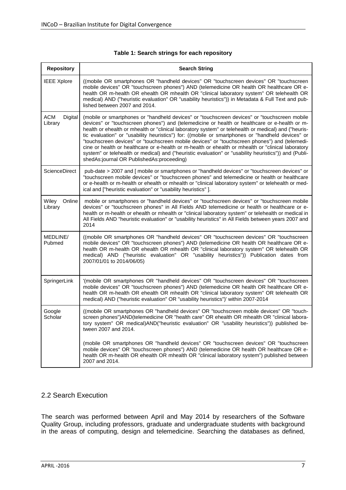| <b>Repository</b>                | <b>Search String</b>                                                                                                                                                                                                                                                                                                                                                                                                                                                                                                                                                                                                                                                                                                                                                   |  |  |  |  |  |
|----------------------------------|------------------------------------------------------------------------------------------------------------------------------------------------------------------------------------------------------------------------------------------------------------------------------------------------------------------------------------------------------------------------------------------------------------------------------------------------------------------------------------------------------------------------------------------------------------------------------------------------------------------------------------------------------------------------------------------------------------------------------------------------------------------------|--|--|--|--|--|
| <b>IEEE Xplore</b>               | ((mobile OR smartphones OR "handheld devices" OR "touchscreen devices" OR "touchscreen<br>mobile devices" OR "touchscreen phones") AND (telemedicine OR health OR healthcare OR e-<br>health OR m-health OR ehealth OR mhealth OR "clinical laboratory system" OR telehealth OR<br>medical) AND ("heuristic evaluation" OR "usability heuristics")) in Metadata & Full Text and pub-<br>lished between 2007 and 2014.                                                                                                                                                                                                                                                                                                                                                  |  |  |  |  |  |
| <b>ACM</b><br>Digital<br>Library | (mobile or smartphones or "handheld devices" or "touchscreen devices" or "touchscreen mobile<br>devices" or "touchscreen phones") and (telemedicine or health or healthcare or e-health or m-<br>health or ehealth or mhealth or "clinical laboratory system" or telehealth or medical) and ("heuris-<br>tic evaluation" or "usability heuristics") for: ((mobile or smartphones or "handheld devices" or<br>"touchscreen devices" or "touchscreen mobile devices" or "touchscreen phones") and (telemedi-<br>cine or health or healthcare or e-health or m-health or ehealth or mhealth or "clinical laboratory<br>system" or telehealth or medical) and ("heuristic evaluation" or "usability heuristics")) and (Publi-<br>shedAs:journal OR PublishedAs:proceeding) |  |  |  |  |  |
| ScienceDirect                    | pub-date > 2007 and [ mobile or smartphones or "handheld devices" or "touchscreen devices" or<br>"touchscreen mobile devices" or "touchscreen phones" and telemedicine or health or healthcare<br>or e-health or m-health or ehealth or mhealth or "clinical laboratory system" or telehealth or med-<br>ical and ["heuristic evaluation" or "usability heuristics"].                                                                                                                                                                                                                                                                                                                                                                                                  |  |  |  |  |  |
| Wiley<br>Online<br>Library       | mobile or smartphones or "handheld devices" or "touchscreen devices" or "touchscreen mobile<br>devices" or "touchscreen phones" in All Fields AND telemedicine or health or healthcare or e-<br>health or m-health or ehealth or mhealth or "clinical laboratory system" or telehealth or medical in<br>All Fields AND "heuristic evaluation" or "usability heuristics" in All Fields between years 2007 and<br>2014                                                                                                                                                                                                                                                                                                                                                   |  |  |  |  |  |
| MEDLINE/<br>Pubmed               | ((mobile OR smartphones OR "handheld devices" OR "touchscreen devices" OR "touchscreen<br>mobile devices" OR "touchscreen phones") AND (telemedicine OR health OR healthcare OR e-<br>health OR m-health OR ehealth OR mhealth OR "clinical laboratory system" OR telehealth OR<br>medical) AND ("heuristic evaluation" OR "usability heuristics")) Publication dates from<br>2007/01/01 to 2014/06/05)                                                                                                                                                                                                                                                                                                                                                                |  |  |  |  |  |
| SpringerLink                     | '(mobile OR smartphones OR "handheld devices" OR "touchscreen devices" OR "touchscreen<br>mobile devices" OR "touchscreen phones") AND (telemedicine OR health OR healthcare OR e-<br>health OR m-health OR ehealth OR mhealth OR "clinical laboratory system" OR telehealth OR<br>medical) AND ("heuristic evaluation" OR "usability heuristics")' within 2007-2014                                                                                                                                                                                                                                                                                                                                                                                                   |  |  |  |  |  |
| Google<br>Scholar                | ((mobile OR smartphones OR "handheld devices" OR "touchscreen mobile devices" OR "touch-<br>screen phones")AND(telemedicine OR "health care" OR ehealth OR mhealth OR "clinical labora-<br>tory system" OR medical)AND("heuristic evaluation" OR "usability heuristics")) published be-<br>tween 2007 and 2014.                                                                                                                                                                                                                                                                                                                                                                                                                                                        |  |  |  |  |  |
|                                  | (mobile OR smartphones OR "handheld devices" OR "touchscreen devices" OR "touchscreen<br>mobile devices" OR "touchscreen phones") AND (telemedicine OR health OR healthcare OR e-<br>health OR m-health OR ehealth OR mhealth OR "clinical laboratory system") published between<br>2007 and 2014.                                                                                                                                                                                                                                                                                                                                                                                                                                                                     |  |  |  |  |  |

#### **Table 1: Search strings for each repository**

## 2.2 Search Execution

The search was performed between April and May 2014 by researchers of the Software Quality Group, including professors, graduate and undergraduate students with background in the areas of computing, design and telemedicine. Searching the databases as defined,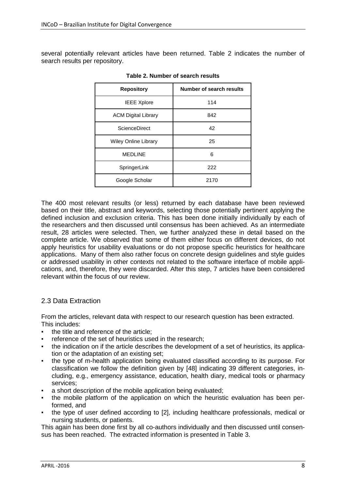several potentially relevant articles have been returned. Table 2 indicates the number of search results per repository.

| <b>Repository</b>           | Number of search results |  |  |
|-----------------------------|--------------------------|--|--|
| <b>IEEE Xplore</b>          | 114                      |  |  |
| <b>ACM Digital Library</b>  | 842                      |  |  |
| ScienceDirect               | 42                       |  |  |
| <b>Wiley Online Library</b> | 25                       |  |  |
| <b>MEDLINE</b>              | 6                        |  |  |
| SpringerLink                | 222                      |  |  |
| Google Scholar              | 2170                     |  |  |

**Table 2. Number of search results**

The 400 most relevant results (or less) returned by each database have been reviewed based on their title, abstract and keywords, selecting those potentially pertinent applying the defined inclusion and exclusion criteria. This has been done initially individually by each of the researchers and then discussed until consensus has been achieved. As an intermediate result, 28 articles were selected. Then, we further analyzed these in detail based on the complete article. We observed that some of them either focus on different devices, do not apply heuristics for usability evaluations or do not propose specific heuristics for healthcare applications. Many of them also rather focus on concrete design guidelines and style guides or addressed usability in other contexts not related to the software interface of mobile applications, and, therefore, they were discarded. After this step, 7 articles have been considered relevant within the focus of our review.

### 2.3 Data Extraction

From the articles, relevant data with respect to our research question has been extracted. This includes:

- the title and reference of the article:
- reference of the set of heuristics used in the research;
- the indication on if the article describes the development of a set of heuristics, its application or the adaptation of an existing set;
- the type of m-health application being evaluated classified according to its purpose. For classification we follow the definition given by [\[48\]](#page-18-0) indicating 39 different categories, including, e.g., emergency assistance, education, health diary, medical tools or pharmacy services;
- a short description of the mobile application being evaluated;
- the mobile platform of the application on which the heuristic evaluation has been performed, and
- the type of user defined according to [\[2\],](#page-15-0) including healthcare professionals, medical or nursing students, or patients.

This again has been done first by all co-authors individually and then discussed until consensus has been reached. The extracted information is presented in Table 3.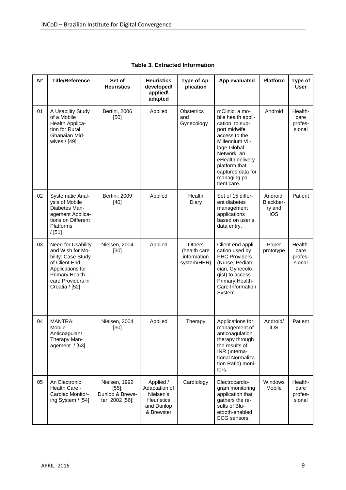| N <sup>o</sup> | <b>Title/Reference</b>                                                                                                                                      | Set of<br><b>Heuristics</b>                                     | <b>Heuristics</b><br>developed\<br>applied\<br>adapted                                   | Type of Ap-<br>plication                                    | App evaluated                                                                                                                                                                                                                     | Platform                               | Type of<br><b>User</b>               |
|----------------|-------------------------------------------------------------------------------------------------------------------------------------------------------------|-----------------------------------------------------------------|------------------------------------------------------------------------------------------|-------------------------------------------------------------|-----------------------------------------------------------------------------------------------------------------------------------------------------------------------------------------------------------------------------------|----------------------------------------|--------------------------------------|
| 01             | A Usability Study<br>of a Mobile<br>Health Applica-<br>tion for Rural<br>Ghanaian Mid-<br>wives / [49]                                                      | Bertini, 2006<br>$[50]$                                         | Applied                                                                                  | <b>Obstetrics</b><br>and<br>Gynecology                      | mClinic, a mo-<br>bile health appli-<br>cation to sup-<br>port midwife<br>access to the<br>Millennium Vil-<br>lage-Global<br>Network, an<br>eHealth delivery<br>platform that<br>captures data for<br>managing pa-<br>tient care. | Android                                | Health-<br>care<br>profes-<br>sional |
| 02             | <b>Systematic Anal-</b><br>ysis of Mobile<br>Diabetes Man-<br>agement Applica-<br>tions on Different<br><b>Platforms</b><br>/[51]                           | Bertini, 2009<br>$[40]$                                         | Applied                                                                                  | Health<br>Diary                                             | Set of 15 differ-<br>ent diabetes<br>management<br>applications<br>based on user's<br>data entry.                                                                                                                                 | Android,<br>Blackber-<br>ry and<br>iOS | Patient                              |
| 03             | Need for Usability<br>and Wish for Mo-<br>bility: Case Study<br>of Client End<br>Applications for<br>Primary Health-<br>care Providers in<br>Croatia / [52] | Nielsen, 2004<br>$[30]$                                         | Applied                                                                                  | <b>Others</b><br>(health care<br>information<br>system/HER) | Client end appli-<br>cation used by<br><b>PHC Providers</b><br>(Nurse, Pediatri-<br>cian, Gynecolo-<br>gist) to access<br>Primary Health-<br>Care Information<br>System.                                                          | Paper<br>prototype                     | Health-<br>care<br>profes-<br>sional |
| 04             | <b>MANTRA:</b><br>Mobile<br>Anticoagulant<br>Therapy Man-<br>agement / [53]                                                                                 | Nielsen, 2004<br>$[30]$                                         | Applied                                                                                  | Therapy                                                     | Applications for<br>management of<br>anticoagulation<br>therapy through<br>the results of<br>INR (Interna-<br>tional Normaliza-<br>tion Ratio) moni-<br>tors.                                                                     | Android/<br>iOS                        | Patient                              |
| 05             | An Electronic<br>Health Care -<br>Cardiac Monitor-<br>ing System / [54]                                                                                     | Nielsen, 1992<br>$[55]$ ;<br>Dunlop & Brews-<br>ter, 2002 [56]; | Applied /<br>Adaptation of<br>Nielsen's<br><b>Heuristics</b><br>and Dunlop<br>& Brewster | Cardiology                                                  | Electrocardio-<br>gram monitoring<br>application that<br>gathers the re-<br>sults of Blu-<br>etooth-enabled<br>ECG sensors.                                                                                                       | Windows<br>Mobile                      | Health-<br>care<br>profes-<br>sional |

**Table 3. Extracted Information**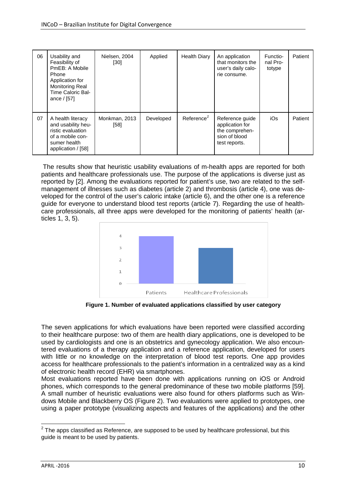| 06 | Usability and<br>Feasibility of<br>PmEB: A Mobile<br>Phone<br>Application for<br><b>Monitoring Real</b><br>Time Caloric Bal-<br>ance $/[57]$ | Nielsen, 2004<br>[30] | Applied   | Health Diary           | An application<br>that monitors the<br>user's daily calo-<br>rie consume.              | Functio-<br>nal Pro-<br>totype | Patient |
|----|----------------------------------------------------------------------------------------------------------------------------------------------|-----------------------|-----------|------------------------|----------------------------------------------------------------------------------------|--------------------------------|---------|
| 07 | A health literacy<br>and usability heu-<br>ristic evaluation<br>of a mobile con-<br>sumer health<br>application / [58]                       | Monkman, 2013<br>[58] | Developed | Reference <sup>2</sup> | Reference guide<br>application for<br>the comprehen-<br>sion of blood<br>test reports. | iOs                            | Patient |

The results show that heuristic usability evaluations of m-health apps are reported for both patients and healthcare professionals use. The purpose of the applications is diverse just as reported by [\[2\].](#page-15-0) Among the evaluations reported for patient's use, two are related to the selfmanagement of illnesses such as diabetes (article 2) and thrombosis (article 4), one was developed for the control of the user's caloric intake (article 6), and the other one is a reference guide for everyone to understand blood test reports (article 7). Regarding the use of healthcare professionals, all three apps were developed for the monitoring of patients' health (articles 1, 3, 5).



**Figure 1. Number of evaluated applications classified by user category**

The seven applications for which evaluations have been reported were classified according to their healthcare purpose: two of them are health diary applications, one is developed to be used by cardiologists and one is an obstetrics and gynecology application. We also encountered evaluations of a therapy application and a reference application, developed for users with little or no knowledge on the interpretation of blood test reports. One app provides access for healthcare professionals to the patient's information in a centralized way as a kind of electronic health record (EHR) via smartphones.

Most evaluations reported have been done with applications running on iOS or Android phones, which corresponds to the general predominance of these two mobile platforms [\[59\].](#page-18-11) A small number of heuristic evaluations were also found for others platforms such as Windows Mobile and Blackberry OS (Figure 2). Two evaluations were applied to prototypes, one using a paper prototype (visualizing aspects and features of the applications) and the other

 $2$  The apps classified as Reference, are supposed to be used by healthcare professional, but this guide is meant to be used by patients.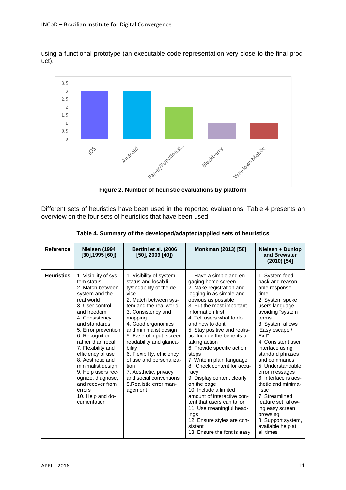using a functional prototype (an executable code representation very close to the final product).



**Figure 2. Number of heuristic evaluations by platform**

Different sets of heuristics have been used in the reported evaluations. Table 4 presents an overview on the four sets of heuristics that have been used.

| <b>Reference</b>  | Nielsen (1994<br>$[30]$ , 1995 [60])                                                                                                                                                                                                                                                                                                                                                                                        | Bertini et al. (2006<br>[50], 2009 [40])                                                                                                                                                                                                                                                                                                                                                                                                           | Monkman (2013) [58]                                                                                                                                                                                                                                                                                                                                                                                                                                                                                                                                                                                                                                                       | Nielsen + Dunlop<br>and Brewster<br>$(2010)$ [54]                                                                                                                                                                                                                                                                                                                                                                                                                                          |
|-------------------|-----------------------------------------------------------------------------------------------------------------------------------------------------------------------------------------------------------------------------------------------------------------------------------------------------------------------------------------------------------------------------------------------------------------------------|----------------------------------------------------------------------------------------------------------------------------------------------------------------------------------------------------------------------------------------------------------------------------------------------------------------------------------------------------------------------------------------------------------------------------------------------------|---------------------------------------------------------------------------------------------------------------------------------------------------------------------------------------------------------------------------------------------------------------------------------------------------------------------------------------------------------------------------------------------------------------------------------------------------------------------------------------------------------------------------------------------------------------------------------------------------------------------------------------------------------------------------|--------------------------------------------------------------------------------------------------------------------------------------------------------------------------------------------------------------------------------------------------------------------------------------------------------------------------------------------------------------------------------------------------------------------------------------------------------------------------------------------|
| <b>Heuristics</b> | 1. Visibility of sys-<br>tem status<br>2. Match between<br>system and the<br>real world<br>3. User control<br>and freedom<br>4. Consistency<br>and standards<br>5. Error prevention<br>6. Recognition<br>rather than recall<br>7. Flexibility and<br>efficiency of use<br>8. Aesthetic and<br>minimalist design<br>9. Help users rec-<br>ognize, diagnose,<br>and recover from<br>errors<br>10. Help and do-<br>cumentation | 1. Visibility of system<br>status and losabili-<br>ty/findability of the de-<br>vice<br>2. Match between sys-<br>tem and the real world<br>3. Consistency and<br>mapping<br>4. Good ergonomics<br>and minimalist design<br>5. Ease of input, screen<br>readability and glanca-<br>bility<br>6. Flexibility, efficiency<br>of use and personaliza-<br>tion<br>7. Aesthetic, privacy<br>and social conventions<br>8. Realistic error man-<br>agement | 1. Have a simple and en-<br>gaging home screen<br>2. Make registration and<br>logging in as simple and<br>obvious as possible<br>3. Put the most important<br>information first<br>4. Tell users what to do<br>and how to do it<br>5. Stay positive and realis-<br>tic. Include the benefits of<br>taking action<br>6. Provide specific action<br>steps<br>7. Write in plain language<br>8. Check content for accu-<br>racy<br>9. Display content clearly<br>on the page<br>10. Include a limited<br>amount of interactive con-<br>tent that users can tailor<br>11. Use meaningful head-<br>ings<br>12. Ensure styles are con-<br>sistent<br>13. Ensure the font is easy | 1. System feed-<br>back and reason-<br>able response<br>time<br>2. System spoke<br>users language<br>avoiding "system<br>terms"<br>3. System allows<br>'Easy escape /<br>Fxit"<br>4. Consistent user<br>interface using<br>standard phrases<br>and commands<br>5. Understandable<br>error messages<br>6. Interface is aes-<br>thetic and minima-<br>listic<br>7. Streamlined<br>feature set, allow-<br>ing easy screen<br>browsing<br>8. Support system,<br>available help at<br>all times |

**Table 4. Summary of the developed/adapted/applied sets of heuristics**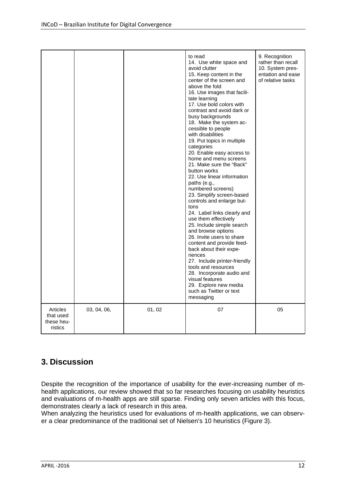|                                                |             |        | to read<br>14. Use white space and<br>avoid clutter<br>15. Keep content in the<br>center of the screen and<br>above the fold<br>16. Use images that facili-<br>tate learning<br>17. Use bold colors with<br>contrast and avoid dark or<br>busy backgrounds<br>18. Make the system ac-<br>cessible to people<br>with disabilities<br>19. Put topics in multiple<br>categories<br>20. Enable easy access to<br>home and menu screens<br>21. Make sure the "Back"<br>button works<br>22. Use linear information<br>paths (e.g.,<br>numbered screens)<br>23. Simplify screen-based<br>controls and enlarge but-<br>tons<br>24. Label links clearly and<br>use them effectively<br>25. Include simple search<br>and browse options<br>26. Invite users to share<br>content and provide feed-<br>back about their expe-<br>riences<br>27. Include printer-friendly<br>tools and resources<br>28. Incorporate audio and<br>visual features<br>29. Explore new media<br>such as Twitter or text<br>messaging | 9. Recognition<br>rather than recall<br>10. System pres-<br>entation and ease<br>of relative tasks |
|------------------------------------------------|-------------|--------|------------------------------------------------------------------------------------------------------------------------------------------------------------------------------------------------------------------------------------------------------------------------------------------------------------------------------------------------------------------------------------------------------------------------------------------------------------------------------------------------------------------------------------------------------------------------------------------------------------------------------------------------------------------------------------------------------------------------------------------------------------------------------------------------------------------------------------------------------------------------------------------------------------------------------------------------------------------------------------------------------|----------------------------------------------------------------------------------------------------|
| Articles<br>that used<br>these heu-<br>ristics | 03, 04, 06, | 01, 02 | 07                                                                                                                                                                                                                                                                                                                                                                                                                                                                                                                                                                                                                                                                                                                                                                                                                                                                                                                                                                                                   | 05                                                                                                 |

# **3. Discussion**

Despite the recognition of the importance of usability for the ever-increasing number of mhealth applications, our review showed that so far researches focusing on usability heuristics and evaluations of m-health apps are still sparse. Finding only seven articles with this focus, demonstrates clearly a lack of research in this area.

When analyzing the heuristics used for evaluations of m-health applications, we can observer a clear predominance of the traditional set of Nielsen's 10 heuristics (Figure 3).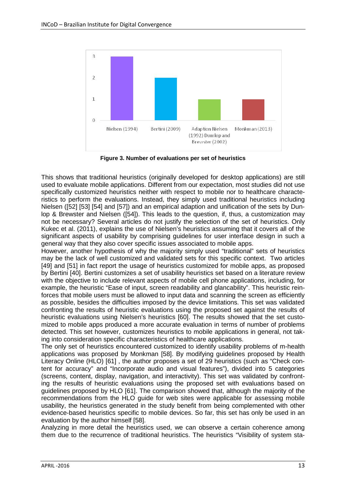

**Figure 3. Number of evaluations per set of heuristics**

This shows that traditional heuristics (originally developed for desktop applications) are still used to evaluate mobile applications. Different from our expectation, most studies did not use specifically customized heuristics neither with respect to mobile nor to healthcare characteristics to perform the evaluations. Instead, they simply used traditional heuristics including Nielsen [\(\[52\]](#page-18-4) [\[53\]](#page-18-5) [\[54\]](#page-18-6) and [\[57\]\)](#page-18-9) and an empirical adaption and unification of the sets by Dunlop & Brewster and Nielsen [\(\[54\]\)](#page-18-6). This leads to the question, if, thus, a customization may not be necessary? Several articles do not justify the selection of the set of heuristics. Only Kukec et al. (2011), explains the use of Nielsen's heuristics assuming that it covers all of the significant aspects of usability by comprising guidelines for user interface design in such a general way that they also cover specific issues associated to mobile apps.

However, another hypothesis of why the majority simply used "traditional" sets of heuristics may be the lack of well customized and validated sets for this specific context. Two articles [\[49\]](#page-18-1) and [\[51\]](#page-18-3) in fact report the usage of heuristics customized for mobile apps, as proposed by Bertini [\[40\].](#page-17-1) Bertini customizes a set of usability heuristics set based on a literature review with the objective to include relevant aspects of mobile cell phone applications, including, for example, the heuristic "Ease of input, screen readability and glancability". This heuristic reinforces that mobile users must be allowed to input data and scanning the screen as efficiently as possible, besides the difficulties imposed by the device limitations. This set was validated confronting the results of heuristic evaluations using the proposed set against the results of heuristic evaluations using Nielsen's heuristics [\[60\].](#page-18-12) The results showed that the set customized to mobile apps produced a more accurate evaluation in terms of number of problems detected. This set however, customizes heuristics to mobile applications in general, not taking into consideration specific characteristics of healthcare applications.

The only set of heuristics encountered customized to identify usability problems of m-health applications was proposed by Monkman [\[58\].](#page-18-10) By modifying guidelines proposed by Health Literacy Online (HLO) [\[61\]](#page-18-13) , the author proposes a set of 29 heuristics (such as "Check content for accuracy" and "Incorporate audio and visual features"), divided into 5 categories (screens, content, display, navigation, and interactivity). This set was validated by confronting the results of heuristic evaluations using the proposed set with evaluations based on guidelines proposed by HLO [\[61\].](#page-18-13) The comparison showed that, although the majority of the recommendations from the HLO guide for web sites were applicable for assessing mobile usability, the heuristics generated in the study benefit from being complemented with other evidence-based heuristics specific to mobile devices. So far, this set has only be used in an evaluation by the author himself [\[58\].](#page-18-10)

Analyzing in more detail the heuristics used, we can observe a certain coherence among them due to the recurrence of traditional heuristics. The heuristics "Visibility of system sta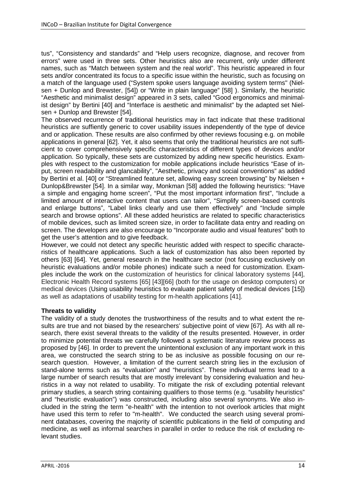tus", "Consistency and standards" and "Help users recognize, diagnose, and recover from errors" were used in three sets. Other heuristics also are recurrent, only under different names, such as "Match between system and the real world". This heuristic appeared in four sets and/or concentrated its focus to a specific issue within the heuristic, such as focusing on a match of the language used ("System spoke users language avoiding system terms" (Nielsen + Dunlop and Brewster, [\[54\]\)](#page-18-6) or "Write in plain language" [\[58\]](#page-18-10) ). Similarly, the heuristic "Aesthetic and minimalist design" appeared in 3 sets, called "Good ergonomics and minimalist design" by Bertini [\[40\]](#page-17-1) and "Interface is aesthetic and minimalist" by the adapted set Nielsen + Dunlop and Brewster [\[54\].](#page-18-6)

The observed recurrence of traditional heuristics may in fact indicate that these traditional heuristics are suffiently generic to cover usability issues independently of the type of device and or application. These results are also confirmed by other reviews focusing e.g. on mobile applications in general [\[62\].](#page-18-14) Yet, it also seems that only the traditional heuristics are not sufficient to cover comprehensively specific characteristics of different types of devices and/or application. So typically, these sets are customized by adding new specific heuristics. Examples with respect to the customization for mobile applications include heuristics "Ease of input, screen readability and glancability", "Aesthetic, privacy and social conventions" as added by Bertini et al. [\[40\]](#page-17-1) or "Streamlined feature set, allowing easy screen browsing" by Nielsen + Dunlop&Brewster [\[54\].](#page-18-6) In a similar way, Monkman [\[58\]](#page-18-10) added the following heuristics: "Have a simple and engaging home screen", "Put the most important information first", "Include a limited amount of interactive content that users can tailor", "Simplify screen-based controls and enlarge buttons", "Label links clearly and use them effectively" and "Include simple search and browse options". All these added heuristics are related to specific characteristics of mobile devices, such as limited screen size, in order to facilitate data entry and reading on screen. The developers are also encourage to "Incorporate audio and visual features" both to get the user's attention and to give feedback.

However, we could not detect any specific heuristic added with respect to specific characteristics of healthcare applications. Such a lack of customization has also been reported by others [\[63\]](#page-18-15) [\[64\].](#page-19-0) Yet, general research in the healthcare sector (not focusing exclusively on heuristic evaluations and/or mobile phones) indicate such a need for customization. Examples include the work on the customization of heuristics for clinical laboratory systems [\[44\],](#page-17-2) Electronic Health Record systems [\[65\]](#page-19-1) [\[43\]\[66\]](#page-17-3) (both for the usage on desktop computers) or medical devices (Using usability heuristics to evaluate patient safety of medical devices [\[15\]\)](#page-16-1) as well as adaptations of usability testing for m-health applications [\[41\].](#page-17-4)

#### **Threats to validity**

The validity of a study denotes the trustworthiness of the results and to what extent the results are true and not biased by the researchers' subjective point of view [\[67\].](#page-19-2) As with all research, there exist several threats to the validity of the results presented. However, in order to minimize potential threats we carefully followed a systematic literature review process as proposed by [\[46\].](#page-17-5) In order to prevent the unintentional exclusion of any important work in this area, we constructed the search string to be as inclusive as possible focusing on our research question. However, a limitation of the current search string lies in the exclusion of stand-alone terms such as "evaluation" and "heuristics". These individual terms lead to a large number of search results that are mostly irrelevant by considering evaluation and heuristics in a way not related to usability. To mitigate the risk of excluding potential relevant primary studies, a search string containing qualifiers to those terms (e.g. "usability heuristics" and "heuristic evaluation") was constructed, including also several synonyms. We also included in the string the term "e-health" with the intention to not overlook articles that might have used this term to refer to "m-health". We conducted the search using several prominent databases, covering the majority of scientific publications in the field of computing and medicine, as well as informal searches in parallel in order to reduce the risk of excluding relevant studies.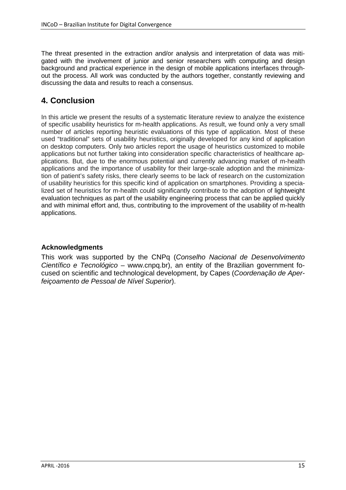The threat presented in the extraction and/or analysis and interpretation of data was mitigated with the involvement of junior and senior researchers with computing and design background and practical experience in the design of mobile applications interfaces throughout the process. All work was conducted by the authors together, constantly reviewing and discussing the data and results to reach a consensus.

# **4. Conclusion**

In this article we present the results of a systematic literature review to analyze the existence of specific usability heuristics for m-health applications. As result, we found only a very small number of articles reporting heuristic evaluations of this type of application. Most of these used "traditional" sets of usability heuristics, originally developed for any kind of application on desktop computers. Only two articles report the usage of heuristics customized to mobile applications but not further taking into consideration specific characteristics of healthcare applications. But, due to the enormous potential and currently advancing market of m-health applications and the importance of usability for their large-scale adoption and the minimization of patient's safety risks, there clearly seems to be lack of research on the customization of usability heuristics for this specific kind of application on smartphones. Providing a specialized set of heuristics for m-health could significantly contribute to the adoption of lightweight evaluation techniques as part of the usability engineering process that can be applied quickly and with minimal effort and, thus, contributing to the improvement of the usability of m-health applications.

## **Acknowledgments**

This work was supported by the CNPq (*Conselho Nacional de Desenvolvimento Científico e Tecnológico* – [www.cnpq.br\)](http://www.cnpq.br/), an entity of the Brazilian government focused on scientific and technological development, by Capes (*Coordenação de Aperfeiçoamento de Pessoal de Nível Superior*).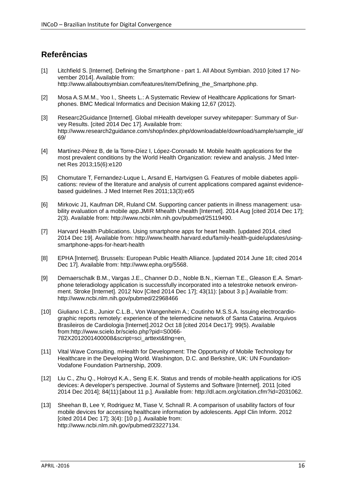## **Referências**

- [1] Litchfield S. [Internet]. Defining the Smartphone part 1. All About Symbian. 2010 [cited 17 November 2014]. Available from: http://www.allaboutsymbian.com/features/item/Defining\_the\_Smartphone.php.
- <span id="page-15-0"></span>[2] Mosa A.S.M.M., Yoo I., Sheets L.: A Systematic Review of Healthcare Applications for Smartphones. BMC Medical Informatics and Decision Making 12,67 (2012).
- [3] Researc2Guidance [Internet]. Global mHealth developer survey whitepaper: Summary of Survey Results. [cited 2014 Dec 17]. Available from: http://www.research2guidance.com/shop/index.php/downloadable/download/sample/sample\_id/ 69/
- [4] Martínez-Pérez B, de la Torre-Díez I, López-Coronado M. Mobile health applications for the most prevalent conditions by the World Health Organization: review and analysis. J Med Internet Res 2013;15(6):e120
- [5] Chomutare T, Fernandez-Luque L, Arsand E, Hartvigsen G. Features of mobile diabetes applications: review of the literature and analysis of current applications compared against evidencebased guidelines. J Med Internet Res 2011;13(3):e65
- [6] Mirkovic J1, Kaufman DR, Ruland CM. Supporting cancer patients in illness management: usability evaluation of a mobile app.JMIR Mhealth Uhealth [Internet]. 2014 Aug [cited 2014 Dec 17]; 2(3). Available from: http://www.ncbi.nlm.nih.gov/pubmed/25119490.
- [7] Harvard Health Publications. Using smartphone apps for heart health. [updated 2014, cited 2014 Dec 19]. Available from: http://www.health.harvard.edu/family-health-guide/updates/usingsmartphone-apps-for-heart-health
- [8] EPHA [Internet]. Brussels: European Public Health Alliance. [updated 2014 June 18; cited 2014 Dec 17]. Available from: http://www.epha.org/5568.
- [9] Demaerschalk B.M., Vargas J.E., Channer D.D., Noble B.N., Kiernan T.E., Gleason E.A. Smartphone teleradiology application is successfully incorporated into a telestroke network environment. Stroke [Internet]. 2012 Nov [Cited 2014 Dec 17]; 43(11): [about 3 p.] Available from: http://www.ncbi.nlm.nih.gov/pubmed/22968466
- [10] Giuliano I.C.B., Junior C.L.B., Von Wangenheim A.; Coutinho M.S.S.A. Issuing electrocardiographic reports remotely: experience of the telemedicine network of Santa Catarina. Arquivos Brasileiros de Cardiologia [Internet].2012 Oct 18 [cited 2014 Dec17]; 99(5). Available from:http://www.scielo.br/scielo.php?pid=S0066- 782X2012001400008&script=sci\_arttext&tlng=en.
- [11] Vital Wave Consulting. mHealth for Development: The Opportunity of Mobile Technology for Healthcare in the Developing World. Washington, D.C. and Berkshire, UK: UN Foundation-Vodafone Foundation Partnership, 2009.
- [12] Liu C., Zhu Q., Holroyd K.A., Seng E.K. Status and trends of mobile-health applications for iOS devices: A developer's perspective. Journal of Systems and Software [Internet]. 2011 [cited 2014 Dec 2014]; 84(11):[about 11 p.]. Available from: http://dl.acm.org/citation.cfm?id=2031062.
- [13] Sheehan B, Lee Y, Rodriguez M, Tiase V, Schnall R. A comparison of usability factors of four mobile devices for accessing healthcare information by adolescents. Appl Clin Inform. 2012 [cited 2014 Dec 17]; 3(4): [10 p.]. Available from: http://www.ncbi.nlm.nih.gov/pubmed/23227134.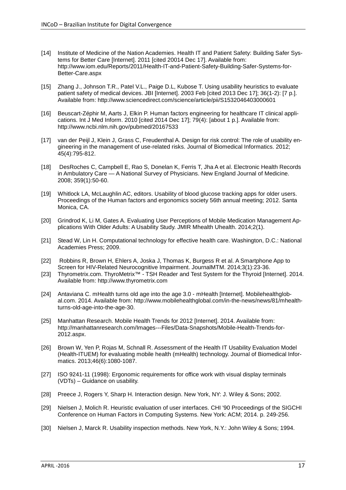- [14] Institute of Medicine of the Nation Academies. Health IT and Patient Safety: Building Safer Systems for Better Care [Internet]. 2011 [cited 20014 Dec 17]. Available from: http://www.iom.edu/Reports/2011/Health-IT-and-Patient-Safety-Building-Safer-Systems-for-Better-Care.aspx
- <span id="page-16-1"></span>[15] Zhang J., Johnson T.R., Patel V.L., Paige D.L, Kubose T. Using usability heuristics to evaluate patient safety of medical devices. JBI [Internet]. 2003 Feb [cited 2013 Dec 17]; 36(1-2): [7 p.]. Available from: http://www.sciencedirect.com/science/article/pii/S1532046403000601
- [16] Beuscart-Zéphir M, Aarts J, Elkin P. Human factors engineering for healthcare IT clinical applications. Int J Med Inform. 2010 [cited 2014 Dec 17]; 79(4): [about 1 p.]. Available from: http://www.ncbi.nlm.nih.gov/pubmed/20167533
- [17] van der Peijl J, Klein J, Grass C, Freudenthal A. Design for risk control: The role of usability engineering in the management of use-related risks. Journal of Biomedical Informatics. 2012; 45(4):795-812.
- [18] DesRoches C, Campbell E, Rao S, Donelan K, Ferris T, Jha A et al. Electronic Health Records in Ambulatory Care — A National Survey of Physicians. New England Journal of Medicine. 2008; 359(1):50-60.
- [19] Whitlock LA, McLaughlin AC, editors. Usability of blood glucose tracking apps for older users. Proceedings of the Human factors and ergonomics society 56th annual meeting; 2012. Santa Monica, CA.
- [20] Grindrod K, Li M, Gates A. Evaluating User Perceptions of Mobile Medication Management Applications With Older Adults: A Usability Study. JMIR Mhealth Uhealth. 2014;2(1).
- [21] Stead W, Lin H. Computational technology for effective health care. Washington, D.C.: National Academies Press; 2009.
- [22] Robbins R, Brown H, Ehlers A, Joska J, Thomas K, Burgess R et al. A Smartphone App to Screen for HIV-Related Neurocognitive Impairment. JournalMTM. 2014;3(1):23-36.
- [23] Thyrometrix.com. ThyroMetrix™ TSH Reader and Test System for the Thyroid [Internet]. 2014. Available from: [http://www.thyrometrix.com](http://www.thyrometrix.com/)
- [24] Antaviana C. mHealth turns old age into the age 3.0 mHealth [Internet]. Mobilehealthglobal.com. 2014. Available from: http://www.mobilehealthglobal.com/in-the-news/news/81/mhealthturns-old-age-into-the-age-30.
- [25] Manhattan Research. Mobile Health Trends for 2012 [Internet]. 2014. Available from: http://manhattanresearch.com/Images---Files/Data-Snapshots/Mobile-Health-Trends-for-2012.aspx.
- [26] Brown W, Yen P, Rojas M, Schnall R. Assessment of the Health IT Usability Evaluation Model (Health-ITUEM) for evaluating mobile health (mHealth) technology. Journal of Biomedical Informatics. 2013;46(6):1080-1087.
- [27] ISO 9241-11 (1998): Ergonomic requirements for office work with visual display terminals (VDTs) – Guidance on usability.
- [28] Preece J, Rogers Y, Sharp H. Interaction design. New York, NY: J. Wiley & Sons; 2002.
- [29] Nielsen J, Molich R. Heuristic evaluation of user interfaces. CHI '90 Proceedings of the SIGCHI Conference on Human Factors in Computing Systems. New York: ACM; 2014. p. 249-256.
- <span id="page-16-0"></span>[30] Nielsen J, Marck R. Usability inspection methods. New York, N.Y.: John Wiley & Sons; 1994.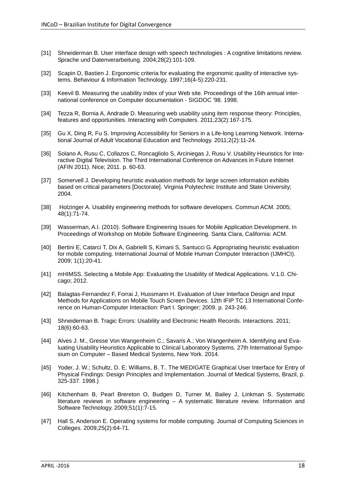- [31] Shneiderman B. User interface design with speech technologies : A cognitive limitations review. Sprache und Datenverarbeitung. 2004;28(2):101-109.
- [32] Scapin D, Bastien J. Ergonomic criteria for evaluating the ergonomic quality of interactive systems. Behaviour & Information Technology. 1997;16(4-5):220-231.
- [33] Keevil B. Measuring the usability index of your Web site. Proceedings of the 16th annual international conference on Computer documentation - SIGDOC '98. 1998.
- [34] Tezza R, Bornia A, Andrade D. Measuring web usability using item response theory: Principles, features and opportunities. Interacting with Computers. 2011;23(2):167-175.
- [35] Gu X, Ding R, Fu S. Improving Accessibility for Seniors in a Life-long Learning Network. International Journal of Adult Vocational Education and Technology. 2011;2(2):11-24.
- [36] Solano A, Rusu C, Collazos C, Roncagliolo S, Arciniegas J, Rusu V. Usability Heuristics for Interactive Digital Television. The Third International Conference on Advances in Future Internet (AFIN 2011). Nice; 2011. p. 60-63.
- [37] Somervell J. Developing heuristic evaluation methods for large screen information exhibits based on critical parameters [Doctorate]. Virginia Polytechnic Institute and State University; 2004.
- [38] Holzinger A. Usability engineering methods for software developers. Commun ACM. 2005; 48(1):71-74.
- [39] Wasserman, A.I. (2010). Software Engineering Issues for Mobile Application Development. In Proceedings of Workshop on Mobile Software Engineering. Santa Clara, California: ACM.
- <span id="page-17-1"></span>[40] Bertini E, Catarci T, Dix A, Gabrielli S, Kimani S, Santucci G. Appropriating heuristic evaluation for mobile computing. International Journal of Mobile Human Computer Interaction (IJMHCI). 2009; 1(1):20-41.
- <span id="page-17-4"></span>[41] mHIMSS. Selecting a Mobile App: Evaluating the Usability of Medical Applications. V.1.0. Chicago; 2012.
- [42] Balagtas-Fernandez F, Forrai J, Hussmann H. Evaluation of User Interface Design and Input Methods for Applications on Mobile Touch Screen Devices. 12th IFIP TC 13 International Conference on Human-Computer Interaction: Part I. Springer; 2009. p. 243-246.
- <span id="page-17-3"></span>[43] Shneiderman B. Tragic Errors: Usability and Electronic Health Records. Interactions. 2011; 18(6):60-63.
- <span id="page-17-2"></span>[44] Alves J. M., Gresse Von Wangenheim C.; Savaris A.; Von Wangenheim A. Identifying and Evaluating Usability Heuristics Applicable to Clinical Laboratory Systems. 27th International Symposium on Computer – Based Medical Systems, New York. 2014.
- [45] Yoder, J. W.; Schultz, D. E; Williams, B. T.. The MEDIGATE Graphical User Interface for Entry of Physical Findings: Design Principles and Implementation. Journal of Medical Systems, Brazil, p. 325-337. 1998.)
- <span id="page-17-5"></span>[46] Kitchenham B, Pearl Brereton O, Budgen D, Turner M, Bailey J, Linkman S. Systematic literature reviews in software engineering – A systematic literature review. Information and Software Technology. 2009;51(1):7-15.
- <span id="page-17-0"></span>[47] Hall S, Anderson E. Operating systems for mobile computing. Journal of Computing Sciences in Colleges. 2009;25(2):64-71.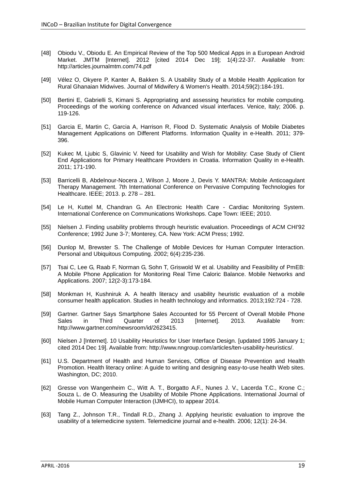- <span id="page-18-0"></span>[48] Obiodu V., Obiodu E. An Empirical Review of the Top 500 Medical Apps in a European Android Market. JMTM [Internet]. 2012 [cited 2014 Dec 19]; 1(4):22-37. Available from: http://articles.journalmtm.com/74.pdf
- <span id="page-18-1"></span>[49] Vélez O, Okyere P, Kanter A, Bakken S. A Usability Study of a Mobile Health Application for Rural Ghanaian Midwives. Journal of Midwifery & Women's Health. 2014;59(2):184-191.
- <span id="page-18-2"></span>[50] Bertini E, Gabrielli S, Kimani S. Appropriating and assessing heuristics for mobile computing. Proceedings of the working conference on Advanced visual interfaces. Venice, Italy; 2006. p. 119-126.
- <span id="page-18-3"></span>[51] Garcia E, Martin C, Garcia A, Harrison R, Flood D. Systematic Analysis of Mobile Diabetes Management Applications on Different Platforms. Information Quality in e-Health. 2011; 379- 396.
- <span id="page-18-4"></span>[52] Kukec M, Ljubic S, Glavinic V. Need for Usability and Wish for Mobility: Case Study of Client End Applications for Primary Healthcare Providers in Croatia. Information Quality in e-Health. 2011; 171-190.
- <span id="page-18-5"></span>[53] Barricelli B, Abdelnour-Nocera J, Wilson J, Moore J, Devis Y. MANTRA: Mobile Anticoagulant Therapy Management. 7th International Conference on Pervasive Computing Technologies for Healthcare. IEEE; 2013. p. 278 – 281.
- <span id="page-18-6"></span>[54] Le H, Kuttel M, Chandran G. An Electronic Health Care - Cardiac Monitoring System. International Conference on Communications Workshops. Cape Town: IEEE; 2010.
- <span id="page-18-7"></span>[55] Nielsen J. Finding usability problems through heuristic evaluation. Proceedings of ACM CHI'92 Conference; 1992 June 3-7; Monterey, CA. New York: ACM Press; 1992.
- <span id="page-18-8"></span>[56] Dunlop M, Brewster S. The Challenge of Mobile Devices for Human Computer Interaction. Personal and Ubiquitous Computing. 2002; 6(4):235-236.
- <span id="page-18-9"></span>[57] Tsai C, Lee G, Raab F, Norman G, Sohn T, Griswold W et al. Usability and Feasibility of PmEB: A Mobile Phone Application for Monitoring Real Time Caloric Balance. Mobile Networks and Applications. 2007; 12(2-3):173-184.
- <span id="page-18-10"></span>[58] Monkman H, Kushniruk A. A health literacy and usability heuristic evaluation of a mobile consumer health application. Studies in health technology and informatics. 2013;192:724 - 728.
- <span id="page-18-11"></span>[59] Gartner. Gartner Says Smartphone Sales Accounted for 55 Percent of Overall Mobile Phone<br>Sales in Third Quarter of 2013 [Internet]. 2013. Available from: Sales in Third Quarter of 2013 [Internet]. 2013. Available from: http://www.gartner.com/newsroom/id/2623415.
- <span id="page-18-12"></span>[60] Nielsen J [Internet]. 10 Usability Heuristics for User Interface Design. [updated 1995 January 1; cited 2014 Dec 19]. Available from: http://www.nngroup.com/articles/ten-usability-heuristics/.
- <span id="page-18-13"></span>[61] U.S. Department of Health and Human Services, Office of Disease Prevention and Health Promotion. Health literacy online: A guide to writing and designing easy-to-use health Web sites. Washington, DC; 2010.
- <span id="page-18-14"></span>[62] Gresse von Wangenheim C., Witt A. T., Borgatto A.F., Nunes J. V., Lacerda T.C., Krone C.; Souza L. de O. Measuring the Usability of Mobile Phone Applications. International Journal of Mobile Human Computer Interaction (IJMHCI), to appear 2014.
- <span id="page-18-15"></span>[63] Tang Z., Johnson T.R., Tindall R.D., Zhang J. Applying heuristic evaluation to improve the usability of a telemedicine system. Telemedicine journal and e-health. 2006; 12(1): 24-34.